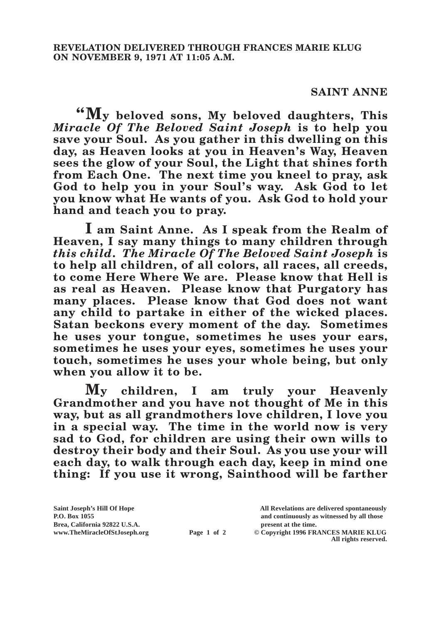## **SAINT ANNE**

**"My beloved sons, My beloved daughters, This**  *Miracle Of The Beloved Saint Joseph* **is to help you save your Soul. As you gather in this dwelling on this day, as Heaven looks at you in Heaven's Way, Heaven sees the glow of your Soul, the Light that shines forth from Each One. The next time you kneel to pray, ask God to help you in your Soul's way. Ask God to let you know what He wants of you. Ask God to hold your hand and teach you to pray.**

**I am Saint Anne. As I speak from the Realm of Heaven, I say many things to many children through**  *this child***.** *The Miracle Of The Beloved Saint Joseph* **is to help all children, of all colors, all races, all creeds, to come Here Where We are. Please know that Hell is as real as Heaven. Please know that Purgatory has many places. Please know that God does not want any child to partake in either of the wicked places. Satan beckons every moment of the day. Sometimes he uses your tongue, sometimes he uses your ears, sometimes he uses your eyes, sometimes he uses your touch, sometimes he uses your whole being, but only when you allow it to be.**

**My children, I am truly your Heavenly Grandmother and you have not thought of Me in this way, but as all grandmothers love children, I love you in a special way. The time in the world now is very sad to God, for children are using their own wills to destroy their body and their Soul. As you use your will each day, to walk through each day, keep in mind one thing: If you use it wrong, Sainthood will be farther** 

**Saint Joseph's Hill Of Hope All Revelations are delivered spontaneously Brea, California 92822 U.S.A. present at the time.**<br> **Page 1 of 2** © Copyright 1996 FR.

**P.O. Box 1055 and continuously as witnessed by all those** 

**Page 1 of 2** © Copyright 1996 FRANCES MARIE KLUG **All rights reserved.**